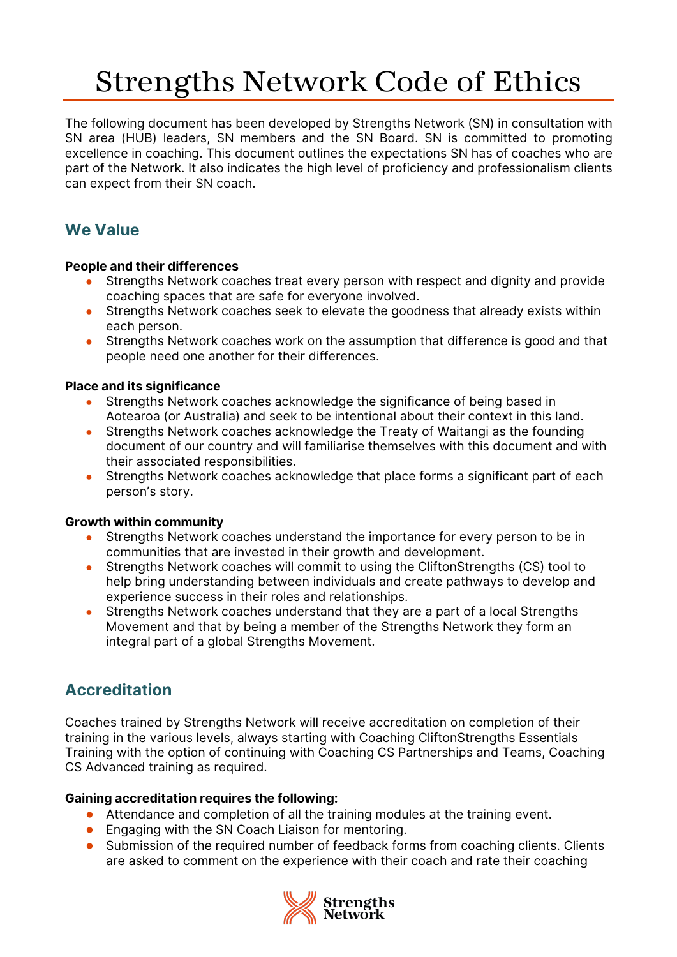# Strengths Network Code of Ethics

The following document has been developed by Strengths Network (SN) in consultation with SN area (HUB) leaders, SN members and the SN Board. SN is committed to promoting excellence in coaching. This document outlines the expectations SN has of coaches who are part of the Network. It also indicates the high level of proficiency and professionalism clients can expect from their SN coach.

# **We Value**

## **People and their differences**

- Strengths Network coaches treat every person with respect and dignity and provide coaching spaces that are safe for everyone involved.
- Strengths Network coaches seek to elevate the goodness that already exists within each person.
- Strengths Network coaches work on the assumption that difference is good and that people need one another for their differences.

## **Place and its significance**

- Strengths Network coaches acknowledge the significance of being based in Aotearoa (or Australia) and seek to be intentional about their context in this land.
- Strengths Network coaches acknowledge the Treaty of Waitangi as the founding document of our country and will familiarise themselves with this document and with their associated responsibilities.
- Strengths Network coaches acknowledge that place forms a significant part of each person's story.

## **Growth within community**

- Strengths Network coaches understand the importance for every person to be in communities that are invested in their growth and development.
- Strengths Network coaches will commit to using the CliftonStrengths (CS) tool to help bring understanding between individuals and create pathways to develop and experience success in their roles and relationships.
- Strengths Network coaches understand that they are a part of a local Strengths Movement and that by being a member of the Strengths Network they form an integral part of a global Strengths Movement.

# **Accreditation**

Coaches trained by Strengths Network will receive accreditation on completion of their training in the various levels, always starting with Coaching CliftonStrengths Essentials Training with the option of continuing with Coaching CS Partnerships and Teams, Coaching CS Advanced training as required.

## **Gaining accreditation requires the following:**

- Attendance and completion of all the training modules at the training event.
- Engaging with the SN Coach Liaison for mentoring.
- Submission of the required number of feedback forms from coaching clients. Clients are asked to comment on the experience with their coach and rate their coaching

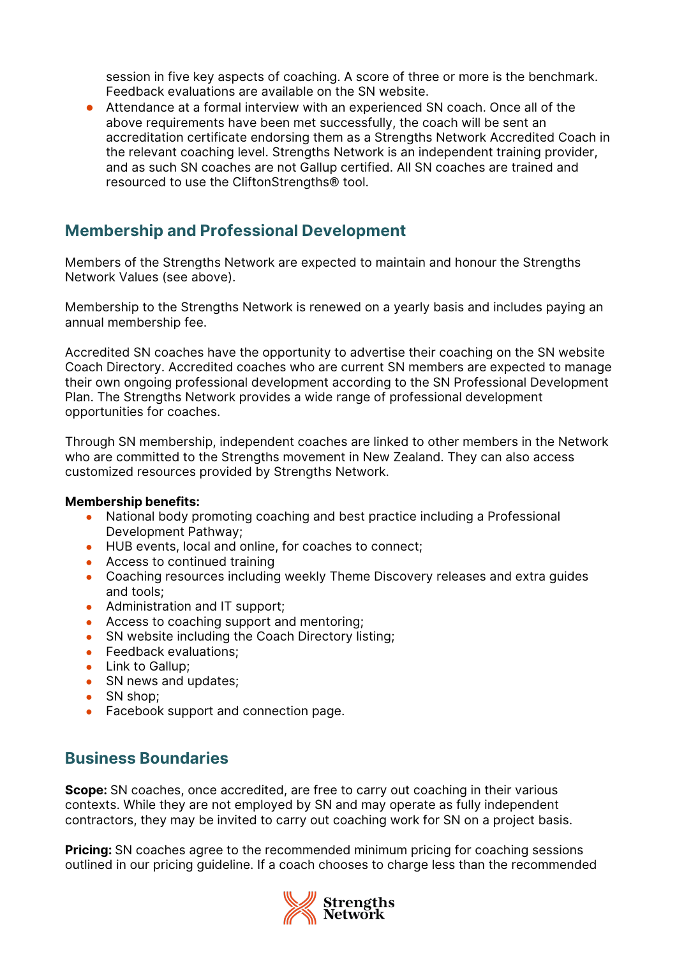session in five key aspects of coaching. A score of three or more is the benchmark. Feedback evaluations are available on the SN website.

● Attendance at a formal interview with an experienced SN coach. Once all of the above requirements have been met successfully, the coach will be sent an accreditation certificate endorsing them as a Strengths Network Accredited Coach in the relevant coaching level. Strengths Network is an independent training provider, and as such SN coaches are not Gallup certified. All SN coaches are trained and resourced to use the CliftonStrengths® tool.

## **Membership and Professional Development**

Members of the Strengths Network are expected to maintain and honour the Strengths Network Values (see above).

Membership to the Strengths Network is renewed on a yearly basis and includes paying an annual membership fee.

Accredited SN coaches have the opportunity to advertise their coaching on the SN website Coach Directory. Accredited coaches who are current SN members are expected to manage their own ongoing professional development according to the SN Professional Development Plan. The Strengths Network provides a wide range of professional development opportunities for coaches.

Through SN membership, independent coaches are linked to other members in the Network who are committed to the Strengths movement in New Zealand. They can also access customized resources provided by Strengths Network.

#### **Membership benefits:**

- National body promoting coaching and best practice including a Professional Development Pathway;
- HUB events, local and online, for coaches to connect;
- Access to continued training
- Coaching resources including weekly Theme Discovery releases and extra guides and tools;
- Administration and IT support;
- Access to coaching support and mentoring;
- SN website including the Coach Directory listing;
- Feedback evaluations;
- Link to Gallup:
- SN news and updates;
- SN shop;
- Facebook support and connection page.

## **Business Boundaries**

**Scope:** SN coaches, once accredited, are free to carry out coaching in their various contexts. While they are not employed by SN and may operate as fully independent contractors, they may be invited to carry out coaching work for SN on a project basis.

**Pricing:** SN coaches agree to the recommended minimum pricing for coaching sessions outlined in our pricing guideline. If a coach chooses to charge less than the recommended

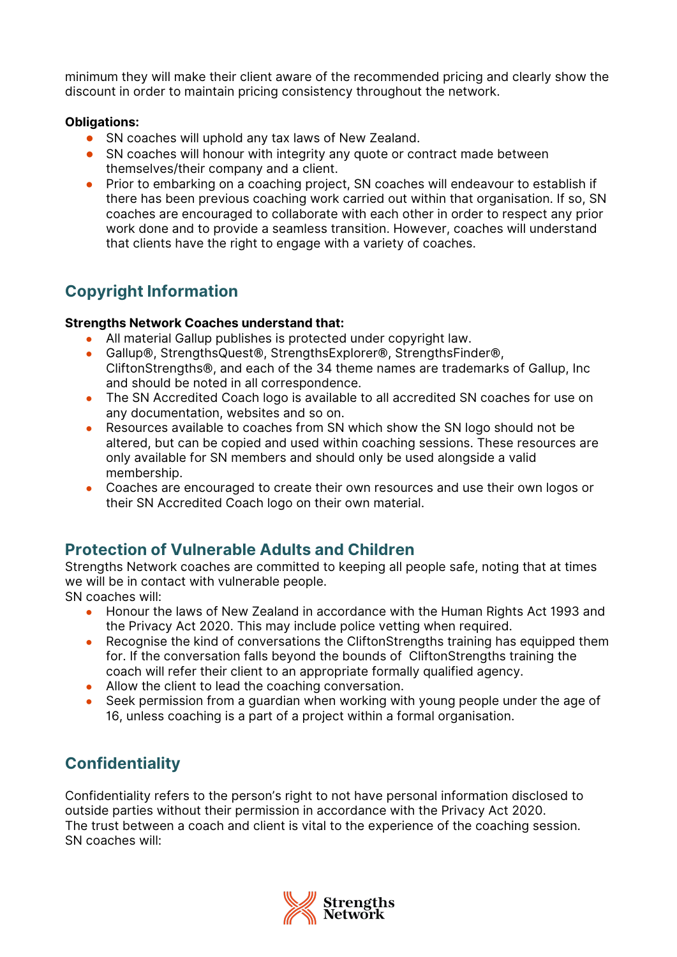minimum they will make their client aware of the recommended pricing and clearly show the discount in order to maintain pricing consistency throughout the network.

#### **Obligations:**

- SN coaches will uphold any tax laws of New Zealand.
- SN coaches will honour with integrity any quote or contract made between themselves/their company and a client.
- Prior to embarking on a coaching project, SN coaches will endeavour to establish if there has been previous coaching work carried out within that organisation. If so, SN coaches are encouraged to collaborate with each other in order to respect any prior work done and to provide a seamless transition. However, coaches will understand that clients have the right to engage with a variety of coaches.

# **Copyright Information**

#### **Strengths Network Coaches understand that:**

- All material Gallup publishes is protected under copyright law.
- Gallup®, StrengthsQuest®, StrengthsExplorer®, StrengthsFinder®, CliftonStrengths®, and each of the 34 theme names are trademarks of Gallup, Inc and should be noted in all correspondence.
- The SN Accredited Coach logo is available to all accredited SN coaches for use on any documentation, websites and so on.
- Resources available to coaches from SN which show the SN logo should not be altered, but can be copied and used within coaching sessions. These resources are only available for SN members and should only be used alongside a valid membership.
- Coaches are encouraged to create their own resources and use their own logos or their SN Accredited Coach logo on their own material.

# **Protection of Vulnerable Adults and Children**

Strengths Network coaches are committed to keeping all people safe, noting that at times we will be in contact with vulnerable people.

SN coaches will:

- Honour the laws of New Zealand in accordance with the Human Rights Act 1993 and the Privacy Act 2020. This may include police vetting when required.
- Recognise the kind of conversations the CliftonStrengths training has equipped them for. If the conversation falls beyond the bounds of CliftonStrengths training the coach will refer their client to an appropriate formally qualified agency.
- Allow the client to lead the coaching conversation.
- Seek permission from a guardian when working with young people under the age of 16, unless coaching is a part of a project within a formal organisation.

# **Confidentiality**

Confidentiality refers to the person's right to not have personal information disclosed to outside parties without their permission in accordance with the Privacy Act 2020. The trust between a coach and client is vital to the experience of the coaching session. SN coaches will:

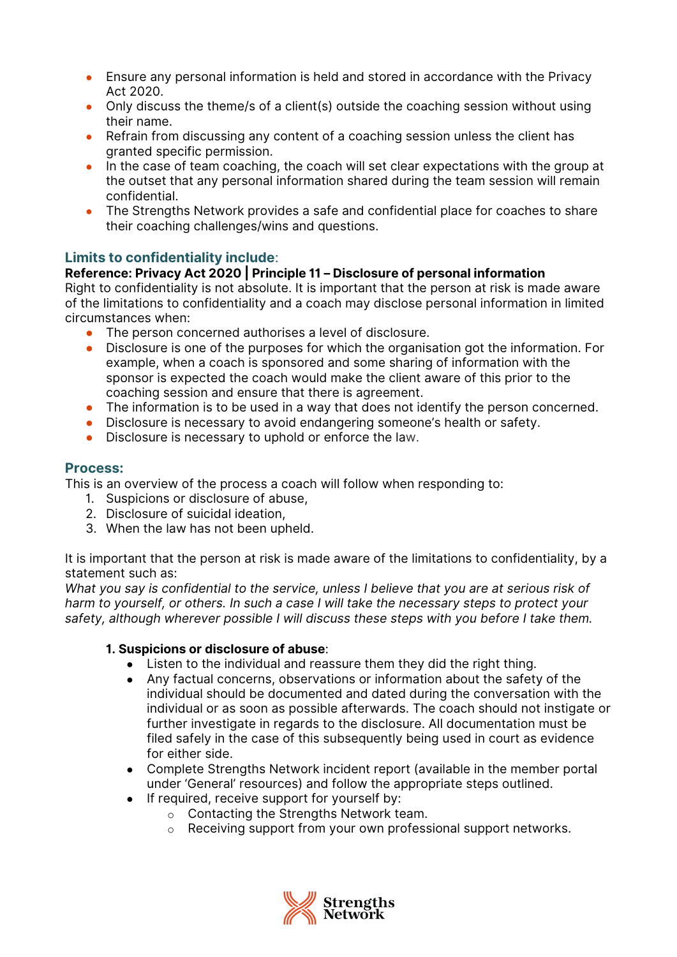- Ensure any personal information is held and stored in accordance with the Privacy Act 2020.
- Only discuss the theme/s of a client(s) outside the coaching session without using their name.
- Refrain from discussing any content of a coaching session unless the client has granted specific permission.
- In the case of team coaching, the coach will set clear expectations with the group at the outset that any personal information shared during the team session will remain confidential.
- The Strengths Network provides a safe and confidential place for coaches to share their coaching challenges/wins and questions.

## **Limits to confidentiality include**:

## **Reference: Privacy Act 2020 | Principle 11 – Disclosure of personal information**

Right to confidentiality is not absolute. It is important that the person at risk is made aware of the limitations to confidentiality and a coach may disclose personal information in limited circumstances when:

- The person concerned authorises a level of disclosure.
- Disclosure is one of the purposes for which the organisation got the information. For example, when a coach is sponsored and some sharing of information with the sponsor is expected the coach would make the client aware of this prior to the coaching session and ensure that there is agreement.
- The information is to be used in a way that does not identify the person concerned.
- Disclosure is necessary to avoid endangering someone's health or safety.
- Disclosure is necessary to uphold or enforce the law.

## **Process:**

This is an overview of the process a coach will follow when responding to:

- 1. Suspicions or disclosure of abuse,
- 2. Disclosure of suicidal ideation,
- 3. When the law has not been upheld.

It is important that the person at risk is made aware of the limitations to confidentiality, by a statement such as:

*What you say is confidential to the service, unless I believe that you are at serious risk of harm to yourself, or others. In such a case I will take the necessary steps to protect your safety, although wherever possible I will discuss these steps with you before I take them.*

## **1. Suspicions or disclosure of abuse**:

- Listen to the individual and reassure them they did the right thing.
- Any factual concerns, observations or information about the safety of the individual should be documented and dated during the conversation with the individual or as soon as possible afterwards. The coach should not instigate or further investigate in regards to the disclosure. All documentation must be filed safely in the case of this subsequently being used in court as evidence for either side.
- Complete Strengths Network incident report (available in the member portal under 'General' resources) and follow the appropriate steps outlined.
- If required, receive support for yourself by:
	- o Contacting the Strengths Network team.
		- o Receiving support from your own professional support networks.

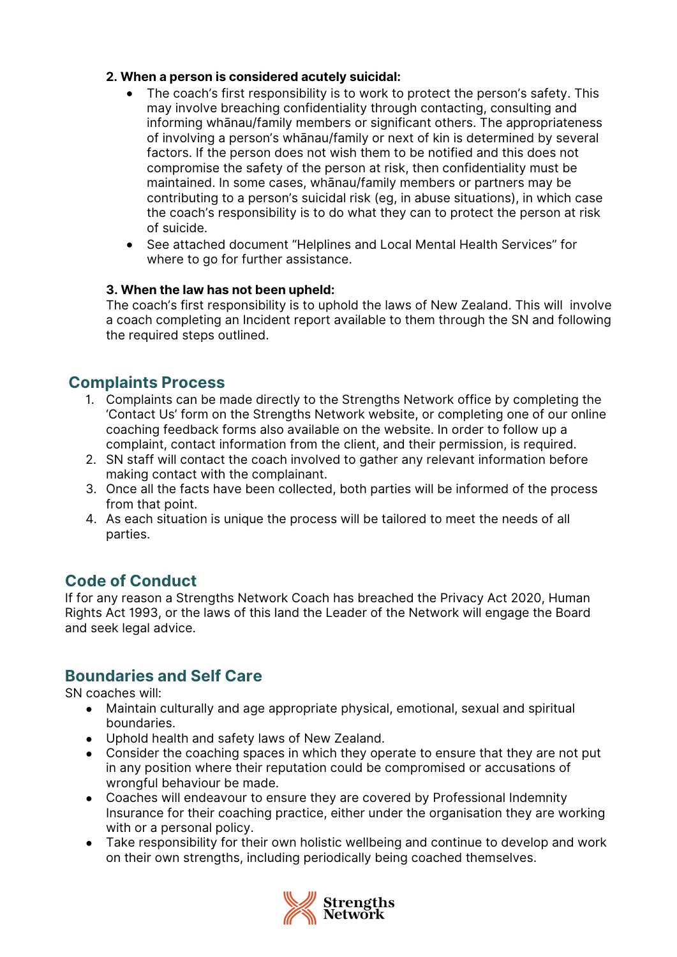## **2. When a person is considered acutely suicidal:**

- The coach's first responsibility is to work to protect the person's safety. This may involve breaching confidentiality through contacting, consulting and informing whānau/family members or significant others. The appropriateness of involving a person's whānau/family or next of kin is determined by several factors. If the person does not wish them to be notified and this does not compromise the safety of the person at risk, then confidentiality must be maintained. In some cases, whānau/family members or partners may be contributing to a person's suicidal risk (eg, in abuse situations), in which case the coach's responsibility is to do what they can to protect the person at risk of suicide.
- See attached document "Helplines and Local Mental Health Services" for where to go for further assistance.

#### **3. When the law has not been upheld:**

The coach's first responsibility is to uphold the laws of New Zealand. This will involve a coach completing an Incident report available to them through the SN and following the required steps outlined.

## **Complaints Process**

- 1. Complaints can be made directly to the Strengths Network office by completing the 'Contact Us' form on the Strengths Network website, or completing one of our online coaching feedback forms also available on the website. In order to follow up a complaint, contact information from the client, and their permission, is required.
- 2. SN staff will contact the coach involved to gather any relevant information before making contact with the complainant.
- 3. Once all the facts have been collected, both parties will be informed of the process from that point.
- 4. As each situation is unique the process will be tailored to meet the needs of all parties.

## **Code of Conduct**

If for any reason a Strengths Network Coach has breached the Privacy Act 2020, Human Rights Act 1993, or the laws of this land the Leader of the Network will engage the Board and seek legal advice.

## **Boundaries and Self Care**

SN coaches will:

- Maintain culturally and age appropriate physical, emotional, sexual and spiritual boundaries.
- Uphold health and safety laws of New Zealand.
- Consider the coaching spaces in which they operate to ensure that they are not put in any position where their reputation could be compromised or accusations of wrongful behaviour be made.
- Coaches will endeavour to ensure they are covered by Professional Indemnity Insurance for their coaching practice, either under the organisation they are working with or a personal policy.
- Take responsibility for their own holistic wellbeing and continue to develop and work on their own strengths, including periodically being coached themselves.